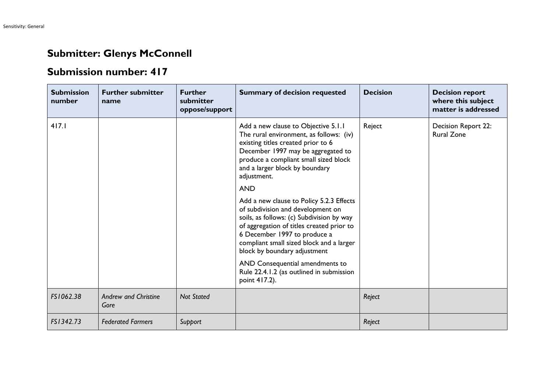## **Submitter: Glenys McConnell**

## **Submission number: 417**

| <b>Submission</b><br>number | <b>Further submitter</b><br>name    | <b>Further</b><br>submitter<br>oppose/support | <b>Summary of decision requested</b>                                                                                                                                                                                                                                                | <b>Decision</b> | <b>Decision report</b><br>where this subject<br>matter is addressed |
|-----------------------------|-------------------------------------|-----------------------------------------------|-------------------------------------------------------------------------------------------------------------------------------------------------------------------------------------------------------------------------------------------------------------------------------------|-----------------|---------------------------------------------------------------------|
| 417.1                       |                                     |                                               | Add a new clause to Objective 5.1.1<br>The rural environment, as follows: (iv)<br>existing titles created prior to 6<br>December 1997 may be aggregated to<br>produce a compliant small sized block<br>and a larger block by boundary<br>adjustment.                                | Reject          | Decision Report 22:<br><b>Rural Zone</b>                            |
|                             |                                     |                                               | <b>AND</b>                                                                                                                                                                                                                                                                          |                 |                                                                     |
|                             |                                     |                                               | Add a new clause to Policy 5.2.3 Effects<br>of subdivision and development on<br>soils, as follows: (c) Subdivision by way<br>of aggregation of titles created prior to<br>6 December 1997 to produce a<br>compliant small sized block and a larger<br>block by boundary adjustment |                 |                                                                     |
|                             |                                     |                                               | AND Consequential amendments to<br>Rule 22.4.1.2 (as outlined in submission<br>point 417.2).                                                                                                                                                                                        |                 |                                                                     |
| FS1062.38                   | <b>Andrew and Christine</b><br>Gore | <b>Not Stated</b>                             |                                                                                                                                                                                                                                                                                     | Reject          |                                                                     |
| FS1342.73                   | <b>Federated Farmers</b>            | Support                                       |                                                                                                                                                                                                                                                                                     | Reject          |                                                                     |